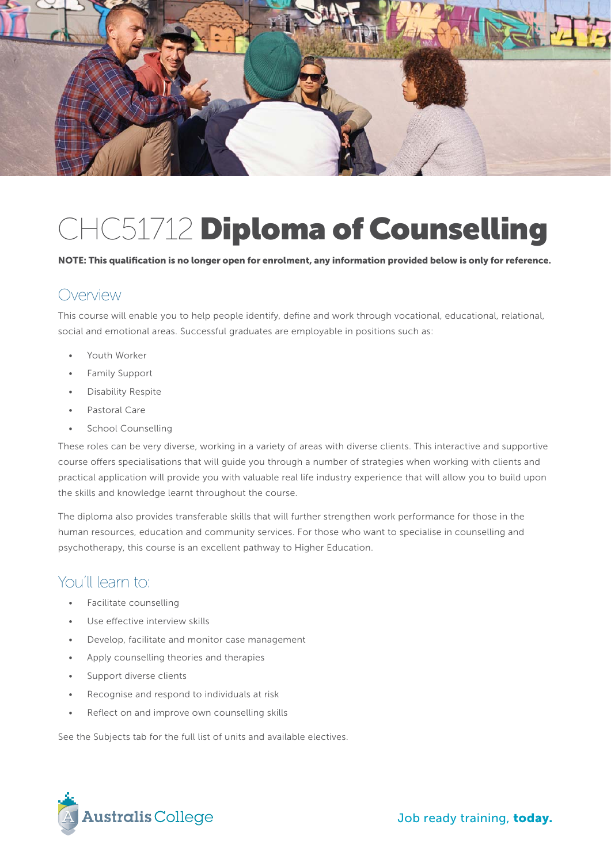

# CHC51712 **Diploma of Counselling**

**NOTE: This qualification is no longer open for enrolment, any information provided below is only for reference.** 

#### Overview

This course will enable you to help people identify, define and work through vocational, educational, relational, social and emotional areas. Successful graduates are employable in positions such as:

- Youth Worker
- Family Support
- Disability Respite
- Pastoral Care
- School Counselling

These roles can be very diverse, working in a variety of areas with diverse clients. This interactive and supportive course offers specialisations that will guide you through a number of strategies when working with clients and practical application will provide you with valuable real life industry experience that will allow you to build upon the skills and knowledge learnt throughout the course.

The diploma also provides transferable skills that will further strengthen work performance for those in the human resources, education and community services. For those who want to specialise in counselling and psychotherapy, this course is an excellent pathway to Higher Education.

#### You'll learn to:

- Facilitate counselling
- Use effective interview skills
- Develop, facilitate and monitor case management
- Apply counselling theories and therapies
- Support diverse clients
- Recognise and respond to individuals at risk
- Reflect on and improve own counselling skills

See the Subjects tab for the full list of units and available electives.

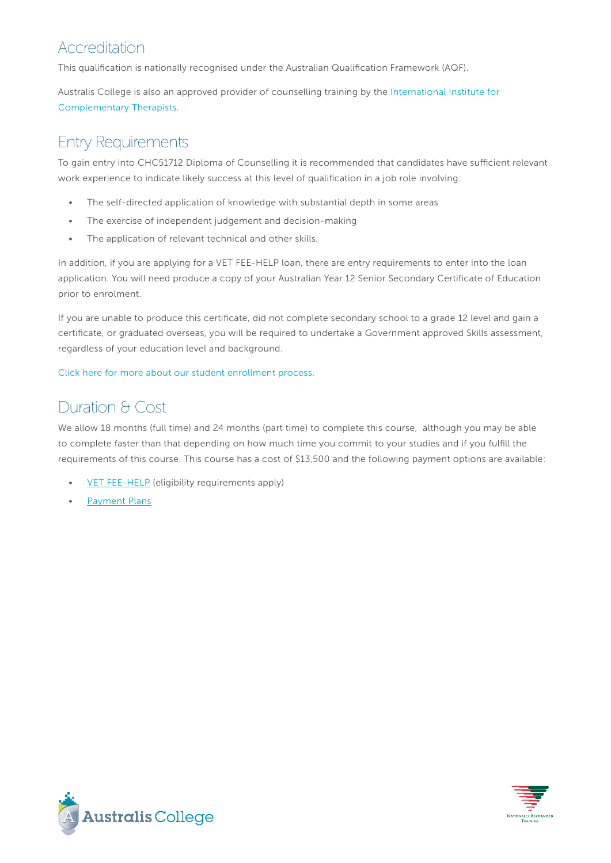## Accreditation

This qualification is nationally recognised under the Australian Qualification Framework (AQF).

Australis College is also an approved provider of counselling training by the International Institute for Complementary Therapists.

## Entry Requirements

To gain entry into CHC51712 Diploma of Counselling it is recommended that candidates have sufficient relevant work experience to indicate likely success at this level of qualification in a job role involving:

- The self-directed application of knowledge with substantial depth in some areas
- The exercise of independent judgement and decision-making
- The application of relevant technical and other skills.

In addition, if you are applying for a VET FEE-HELP loan, there are entry requirements to enter into the loan application. You will need produce a copy of your Australian Year 12 Senior Secondary Certificate of Education prior to enrolment.

If you are unable to produce this certificate, did not complete secondary school to a grade 12 level and gain a certificate, or graduated overseas, you will be required to undertake a Government approved Skills assessment, regardless of your education level and background.

Click here for more about our student enrollment process.

# Duration & Cost

We allow 18 months (full time) and 24 months (part time) to complete this course, although you may be able to complete faster than that depending on how much time you commit to your studies and if you fulfill the requirements of this course. This course has a cost of \$13,500 and the following payment options are available:

- VET FEE-HELP (eligibility requirements apply)
- Payment Plans



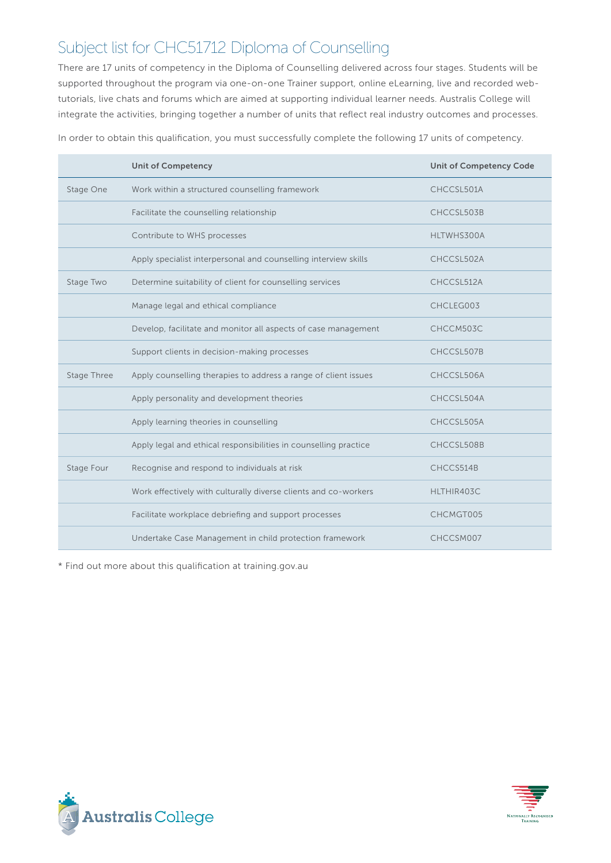# Subject list for CHC51712 Diploma of Counselling

There are 17 units of competency in the Diploma of Counselling delivered across four stages. Students will be supported throughout the program via one-on-one Trainer support, online eLearning, live and recorded webtutorials, live chats and forums which are aimed at supporting individual learner needs. Australis College will integrate the activities, bringing together a number of units that reflect real industry outcomes and processes.

|             | <b>Unit of Competency</b>                                        | <b>Unit of Competency Code</b> |
|-------------|------------------------------------------------------------------|--------------------------------|
| Stage One   | Work within a structured counselling framework                   | CHCCSL501A                     |
|             | Facilitate the counselling relationship                          | CHCCSL503B                     |
|             | Contribute to WHS processes                                      | HLTWHS300A                     |
|             | Apply specialist interpersonal and counselling interview skills  | CHCCSL502A                     |
| Stage Two   | Determine suitability of client for counselling services         | CHCCSL512A                     |
|             | Manage legal and ethical compliance                              | CHCLEG003                      |
|             | Develop, facilitate and monitor all aspects of case management   | CHCCM503C                      |
|             | Support clients in decision-making processes                     | CHCCSL507B                     |
| Stage Three | Apply counselling therapies to address a range of client issues  | CHCCSL506A                     |
|             | Apply personality and development theories                       | CHCCSL504A                     |
|             | Apply learning theories in counselling                           | CHCCSL505A                     |
|             | Apply legal and ethical responsibilities in counselling practice | CHCCSL508B                     |
| Stage Four  | Recognise and respond to individuals at risk                     | CHCCS514B                      |
|             | Work effectively with culturally diverse clients and co-workers  | HLTHIR403C                     |
|             | Facilitate workplace debriefing and support processes            | CHCMGT005                      |
|             | Undertake Case Management in child protection framework          | CHCCSM007                      |

In order to obtain this qualification, you must successfully complete the following 17 units of competency.

\* Find out more about this qualification at training.gov.au